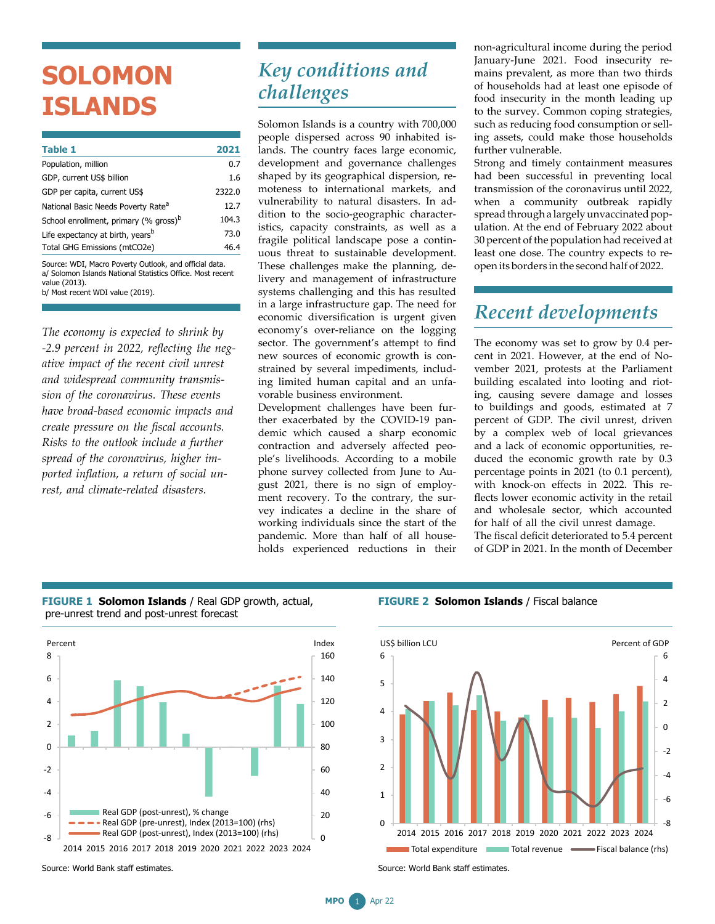## **SOLOMON ISLANDS**

| <b>Table 1</b>                                    | 2021   |
|---------------------------------------------------|--------|
| Population, million                               | 0.7    |
| GDP, current US\$ billion                         | 1.6    |
| GDP per capita, current US\$                      | 2322.0 |
| National Basic Needs Poverty Rate <sup>a</sup>    | 12.7   |
| School enrollment, primary (% gross) <sup>b</sup> | 104.3  |
| Life expectancy at birth, years <sup>b</sup>      | 73.0   |
| Total GHG Emissions (mtCO2e)                      | 46.4   |
|                                                   |        |

Source: WDI, Macro Poverty Outlook, and official data. a/ Solomon Islands National Statistics Office. Most recent value (2013). b/ Most recent WDI value (2019).

*The economy is expected to shrink by -2.9 percent in 2022, reflecting the negative impact of the recent civil unrest and widespread community transmission of the coronavirus. These events have broad-based economic impacts and create pressure on the fiscal accounts. Risks to the outlook include a further spread of the coronavirus, higher imported inflation, a return of social unrest, and climate-related disasters.*

## *Key conditions and challenges*

Solomon Islands is a country with 700,000 people dispersed across 90 inhabited islands. The country faces large economic, development and governance challenges shaped by its geographical dispersion, remoteness to international markets, and vulnerability to natural disasters. In addition to the socio-geographic characteristics, capacity constraints, as well as a fragile political landscape pose a continuous threat to sustainable development. These challenges make the planning, delivery and management of infrastructure systems challenging and this has resulted in a large infrastructure gap. The need for economic diversification is urgent given economy's over-reliance on the logging sector. The government's attempt to find new sources of economic growth is constrained by several impediments, including limited human capital and an unfavorable business environment.

Development challenges have been further exacerbated by the COVID-19 pandemic which caused a sharp economic contraction and adversely affected people's livelihoods. According to a mobile phone survey collected from June to August 2021, there is no sign of employment recovery. To the contrary, the survey indicates a decline in the share of working individuals since the start of the pandemic. More than half of all households experienced reductions in their

non-agricultural income during the period January-June 2021. Food insecurity remains prevalent, as more than two thirds of households had at least one episode of food insecurity in the month leading up to the survey. Common coping strategies, such as reducing food consumption or selling assets, could make those households further vulnerable.

Strong and timely containment measures had been successful in preventing local transmission of the coronavirus until 2022, when a community outbreak rapidly spread through a largely unvaccinated population. At the end of February 2022 about 30 percent of the population had received at least one dose. The country expects to reopen its borders in the second half of 2022.

## *Recent developments*

The economy was set to grow by 0.4 percent in 2021. However, at the end of November 2021, protests at the Parliament building escalated into looting and rioting, causing severe damage and losses to buildings and goods, estimated at 7 percent of GDP. The civil unrest, driven by a complex web of local grievances and a lack of economic opportunities, reduced the economic growth rate by 0.3 percentage points in 2021 (to 0.1 percent), with knock-on effects in 2022. This reflects lower economic activity in the retail and wholesale sector, which accounted for half of all the civil unrest damage.

The fiscal deficit deteriorated to 5.4 percent of GDP in 2021. In the month of December



**FIGURE 1 Solomon Islands** / Real GDP growth, actual, pre-unrest trend and post-unrest forecast



**FIGURE 2 Solomon Islands** / Fiscal balance



Source: World Bank staff estimates.